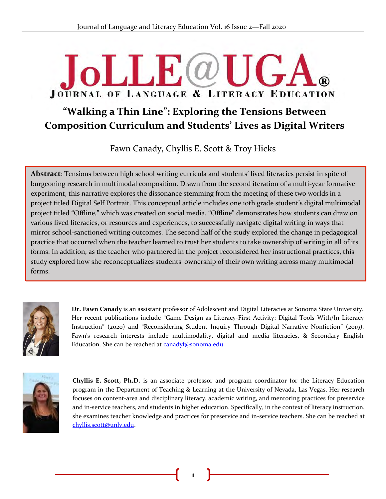## $JolJF(\omega)$  $\mathbf{A}$ JOURNAL OF LANGUAGE & LITERACY EDUCATION

### "Walking a Thin Line": Exploring the Tensions Between **Composition Curriculum and Students' Lives as Digital Writers**

Fawn Canady, Chyllis E. Scott & Troy Hicks

**Abstract**: Tensions between high school writing curricula and students' lived literacies persist in spite of &burgeoning research in multimodal composition. Drawn from the second iteration of a multi-year formative experiment, this narrative explores the dissonance stemming from the meeting of these two worlds in a project titled Digital Self Portrait. This conceptual article includes one 10th grade student's digital multimodal project titled "Offline," which was created on social media. "Offline" demonstrates how students can draw on various lived literacies, or resources and experiences, to successfully navigate digital writing in ways that mirror school-sanctioned writing outcomes. The second half of the study explored the change in pedagogical practice that occurred when the teacher learned to trust her students to take ownership of writing in all of its forms. In addition, as the teacher who partnered in the project reconsidered her instructional practices, this study explored how she reconceptualizes students' ownership of their own writing across many multimodal forms.



**Dr. Fawn Canady** is an assistant professor of Adolescent and Digital Literacies at Sonoma State University. Her recent publications include "Game Design as Literacy-First Activity: Digital Tools With/In Literacy Instruction" (2020) and "Reconsidering Student Inquiry Through Digital Narrative Nonfiction" (2019). Fawn's research interests include multimodality, digital and media literacies, & Secondary English Education. She can be reached at canadyf@sonoma.edu.



**Chyllis E. Scott, Ph.D.** is an associate professor and program coordinator for the Literacy Education program in the Department of Teaching & Learning at the University of Nevada, Las Vegas. Her research focuses on content-area and disciplinary literacy, academic writing, and mentoring practices for preservice and in-service teachers, and students in higher education. Specifically, in the context of literacy instruction, she examines teacher knowledge and practices for preservice and in-service teachers. She can be reached at [chyllis.scott@unlv.edu.](mailto:chyllis.scott@unlv.edu)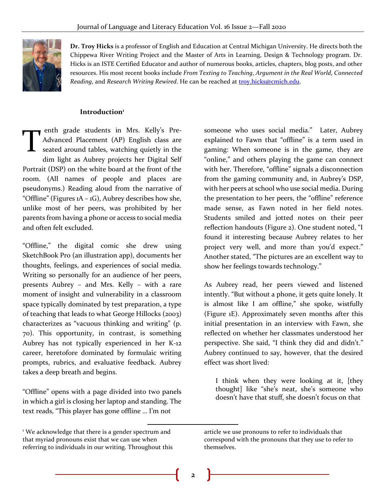

**Dr. Troy Hicks** is a professor of English and Education at Central Michigan University. He directs both the Chippewa River Writing Project and the Master of Arts in Learning, Design & Technology program. Dr. Hicks is an ISTE Certified Educator and author of numerous books, articles, chapters, blog posts, and other resources. His most recent books include *From Texting to Teaching*, *Argument in the Real World*, *Connected Reading*, and *Research Writing Rewired*. He can be reached at [troy.hicks@cmich.edu.](mailto:troy.hicks@cmich.edu) 

#### **Introduction<sup>1</sup>**

enth grade students in Mrs. Kelly's Pre-Advanced Placement (AP) English class are seated around tables, watching quietly in the dim light as Aubrey projects her Digital Self Portrait (DSP) on the white board at the front of the room. (All names of people and places are pseudonyms.) Reading aloud from the narrative of "Offline" (Figures  $1A - 1G$ ), Aubrey describes how she, unlike most of her peers, was prohibited by her parents from having a phone or access to social media and often felt excluded. T

"Offline," the digital comic she drew using SketchBook Pro (an illustration app), documents her thoughts, feelings, and experiences of social media. Writing so personally for an audience of her peers, presents Aubrey – and Mrs. Kelly – with a rare moment of insight and vulnerability in a classroom space typically dominated by test preparation, a type of teaching that leads to what George Hillocks (2003) characterizes as "vacuous thinking and writing" (p. 70). This opportunity, in contrast, is something Aubrey has not typically experienced in her K-12 career, heretofore dominated by formulaic writing prompts, rubrics, and evaluative feedback. Aubrey takes a deep breath and begins.

"Offline" opens with a page divided into two panels in which a girl is closing her laptop and standing. The text reads, "This player has gone offline … I'm not

someone who uses social media." Later, Aubrey explained to Fawn that "offline" is a term used in gaming: When someone is in the game, they are "online," and others playing the game can connect with her. Therefore, "offline" signals a disconnection from the gaming community and, in Aubrey's DSP, with her peers at school who use social media. During the presentation to her peers, the "offline" reference made sense, as Fawn noted in her field notes. Students smiled and jotted notes on their peer reflection handouts (Figure 2). One student noted, "I found it interesting because Aubrey relates to her project very well, and more than you'd expect." Another stated, "The pictures are an excellent way to show her feelings towards technology."

As Aubrey read, her peers viewed and listened intently. "But without a phone, it gets quite lonely. It is almost like I am offline," she spoke, wistfully (Figure 1E). Approximately seven months after this initial presentation in an interview with Fawn, she reflected on whether her classmates understood her perspective. She said, "I think they did and didn't." Aubrey continued to say, however, that the desired effect was short lived:

I think when they were looking at it, [they thought] like "she's neat, she's someone who doesn't have that stuff, she doesn't focus on that

<sup>&</sup>lt;sup>1</sup> We acknowledge that there is a gender spectrum and that myriad pronouns exist that we can use when referring to individuals in our writing. Throughout this

article we use pronouns to refer to individuals that correspond with the pronouns that they use to refer to themselves.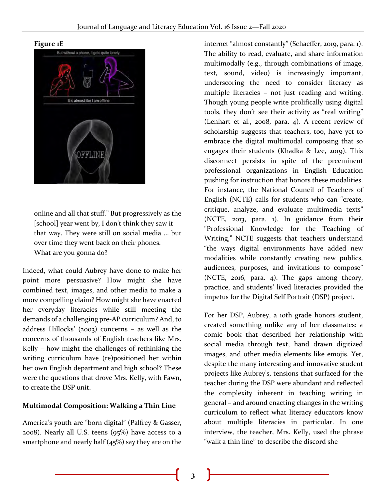**Figure 1E**



online and all that stuff." But progressively as the [school] year went by, I don't think they saw it that way. They were still on social media … but over time they went back on their phones. What are you gonna do?

Indeed, what could Aubrey have done to make her point more persuasive? How might she have combined text, images, and other media to make a more compelling claim? How might she have enacted her everyday literacies while still meeting the demands of a challenging pre-AP curriculum? And, to address Hillocks' (2003) concerns – as well as the concerns of thousands of English teachers like Mrs. Kelly – how might the challenges of rethinking the writing curriculum have (re)positioned her within her own English department and high school? These were the questions that drove Mrs. Kelly, with Fawn, to create the DSP unit.

#### **Multimodal Composition: Walking a Thin Line**

America's youth are "born digital" (Palfrey & Gasser, 2008). Nearly all U.S. teens (95%) have access to a smartphone and nearly half  $(45%)$  say they are on the

internet "almost constantly" (Schaeffer, 2019, para. 1). The ability to read, evaluate, and share information multimodally (e.g., through combinations of image, text, sound, video) is increasingly important, underscoring the need to consider literacy as multiple literacies – not just reading and writing. Though young people write prolifically using digital tools, they don't see their activity as "real writing" (Lenhart et al., 2008, para. 4). A recent review of scholarship suggests that teachers, too, have yet to embrace the digital multimodal composing that so engages their students (Khadka & Lee, 2019). This disconnect persists in spite of the preeminent professional organizations in English Education pushing for instruction that honors these modalities. For instance, the National Council of Teachers of English (NCTE) calls for students who can "create, critique, analyze, and evaluate multimedia texts" (NCTE, 2013, para. 1). In guidance from their "Professional Knowledge for the Teaching of Writing," NCTE suggests that teachers understand "the ways digital environments have added new modalities while constantly creating new publics, audiences, purposes, and invitations to compose" (NCTE, 2016, para. 4). The gaps among theory, practice, and students' lived literacies provided the impetus for the Digital Self Portrait (DSP) project.

For her DSP, Aubrey, a 10th grade honors student, created something unlike any of her classmates: a comic book that described her relationship with social media through text, hand drawn digitized images, and other media elements like emojis. Yet, despite the many interesting and innovative student projects like Aubrey's, tensions that surfaced for the teacher during the DSP were abundant and reflected the complexity inherent in teaching writing in general – and around enacting changes in the writing curriculum to reflect what literacy educators know about multiple literacies in particular. In one interview, the teacher, Mrs. Kelly, used the phrase "walk a thin line" to describe the discord she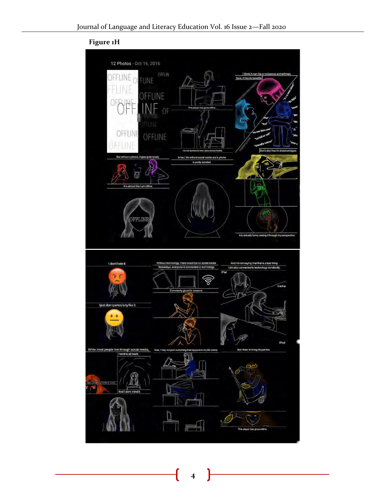

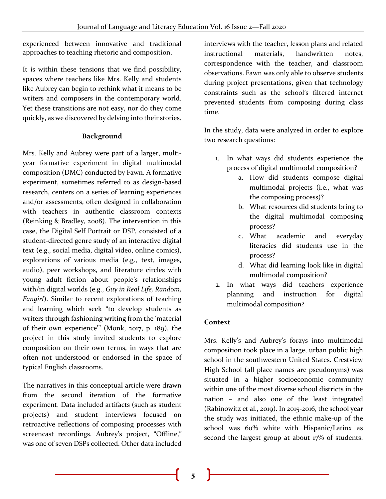experienced between innovative and traditional approaches to teaching rhetoric and composition.

It is within these tensions that we find possibility, spaces where teachers like Mrs. Kelly and students like Aubrey can begin to rethink what it means to be writers and composers in the contemporary world. Yet these transitions are not easy, nor do they come quickly, as we discovered by delving into their stories.

#### **Background**

Mrs. Kelly and Aubrey were part of a larger, multiyear formative experiment in digital multimodal composition (DMC) conducted by Fawn. A formative experiment, sometimes referred to as design-based research, centers on a series of learning experiences and/or assessments, often designed in collaboration with teachers in authentic classroom contexts (Reinking & Bradley, 2008). The intervention in this case, the Digital Self Portrait or DSP, consisted of a student-directed genre study of an interactive digital text (e.g., social media, digital video, online comics), explorations of various media (e.g., text, images, audio), peer workshops, and literature circles with young adult fiction about people's relationships with/in digital worlds (e.g., *Guy in Real Life, Random, Fangirl*). Similar to recent explorations of teaching and learning which seek "to develop students as writers through fashioning writing from the 'material of their own experience'" (Monk, 2017, p. 189), the project in this study invited students to explore composition on their own terms, in ways that are often not understood or endorsed in the space of typical English classrooms.

The narratives in this conceptual article were drawn from the second iteration of the formative experiment. Data included artifacts (such as student projects) and student interviews focused on retroactive reflections of composing processes with screencast recordings. Aubrey's project, "Offline," was one of seven DSPs collected. Other data included

interviews with the teacher, lesson plans and related instructional materials, handwritten notes, correspondence with the teacher, and classroom observations. Fawn was only able to observe students during project presentations, given that technology constraints such as the school's filtered internet prevented students from composing during class time.

In the study, data were analyzed in order to explore two research questions:

- 1. In what ways did students experience the process of digital multimodal composition?
	- a. How did students compose digital multimodal projects (i.e., what was the composing process)?
	- b. What resources did students bring to the digital multimodal composing process?
	- c. What academic and everyday literacies did students use in the process?
	- d. What did learning look like in digital multimodal composition?
- 2. In what ways did teachers experience planning and instruction for digital multimodal composition?

#### **Context**

Mrs. Kelly's and Aubrey's forays into multimodal composition took place in a large, urban public high school in the southwestern United States. Crestview High School (all place names are pseudonyms) was situated in a higher socioeconomic community within one of the most diverse school districts in the nation – and also one of the least integrated (Rabinowitz et al., 2019). In 2015-2016, the school year the study was initiated, the ethnic make-up of the school was 60% white with Hispanic/Latinx as second the largest group at about 17% of students.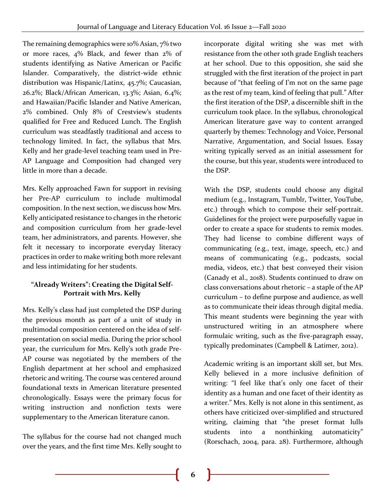The remaining demographics were 10% Asian, 7% two or more races, 4% Black, and fewer than 2% of students identifying as Native American or Pacific Islander. Comparatively, the district-wide ethnic distribution was Hispanic/Latinx, 45.7%; Caucasian, 26.2%; Black/African American, 13.3%; Asian, 6.4%; and Hawaiian/Pacific Islander and Native American, 2% combined. Only 8% of Crestview's students qualified for Free and Reduced Lunch. The English curriculum was steadfastly traditional and access to technology limited. In fact, the syllabus that Mrs. Kelly and her grade-level teaching team used in Pre-AP Language and Composition had changed very little in more than a decade.

Mrs. Kelly approached Fawn for support in revising her Pre-AP curriculum to include multimodal composition. In the next section, we discuss how Mrs. Kelly anticipated resistance to changes in the rhetoric and composition curriculum from her grade-level team, her administrators, and parents. However, she felt it necessary to incorporate everyday literacy practices in order to make writing both more relevant and less intimidating for her students.

#### **"Already Writers": Creating the Digital Self-Portrait with Mrs. Kelly**

Mrs. Kelly's class had just completed the DSP during the previous month as part of a unit of study in multimodal composition centered on the idea of selfpresentation on social media. During the prior school year, the curriculum for Mrs. Kelly's 10th grade Pre-AP course was negotiated by the members of the English department at her school and emphasized rhetoric and writing. The course was centered around foundational texts in American literature presented chronologically. Essays were the primary focus for writing instruction and nonfiction texts were supplementary to the American literature canon.

The syllabus for the course had not changed much over the years, and the first time Mrs. Kelly sought to

incorporate digital writing she was met with resistance from the other 10th grade English teachers at her school. Due to this opposition, she said she struggled with the first iteration of the project in part because of "that feeling of I'm not on the same page as the rest of my team, kind of feeling that pull." After the first iteration of the DSP, a discernible shift in the curriculum took place. In the syllabus, chronological American literature gave way to content arranged quarterly by themes: Technology and Voice, Personal Narrative, Argumentation, and Social Issues. Essay writing typically served as an initial assessment for the course, but this year, students were introduced to the DSP.

With the DSP, students could choose any digital medium (e.g., Instagram, Tumblr, Twitter, YouTube, etc.) through which to compose their self-portrait. Guidelines for the project were purposefully vague in order to create a space for students to remix modes. They had license to combine different ways of communicating (e.g., text, image, speech, etc.) and means of communicating (e.g., podcasts, social media, videos, etc.) that best conveyed their vision (Canady et al., 2018). Students continued to draw on class conversations about rhetoric – a staple of the AP curriculum – to define purpose and audience, as well as to communicate their ideas through digital media. This meant students were beginning the year with unstructured writing in an atmosphere where formulaic writing, such as the five-paragraph essay, typically predominates (Campbell & Latimer, 2012).

Academic writing is an important skill set, but Mrs. Kelly believed in a more inclusive definition of writing: "I feel like that's only one facet of their identity as a human and one facet of their identity as a writer." Mrs. Kelly is not alone in this sentiment, as others have criticized over-simplified and structured writing, claiming that "the preset format lulls students into a nonthinking automaticity" (Rorschach, 2004, para. 28). Furthermore, although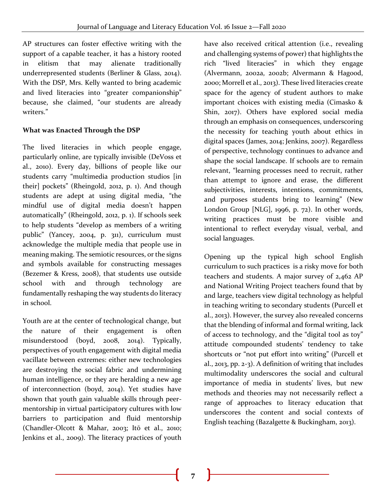AP structures can foster effective writing with the support of a capable teacher, it has a history rooted in elitism that may alienate traditionally underrepresented students (Berliner & Glass, 2014). With the DSP, Mrs. Kelly wanted to bring academic and lived literacies into "greater companionship" because, she claimed, "our students are already writers."

#### **What was Enacted Through the DSP**

The lived literacies in which people engage, particularly online, are typically invisible (DeVoss et al., 2010). Every day, billions of people like our students carry "multimedia production studios [in their] pockets" (Rheingold, 2012, p. 1). And though students are adept at using digital media, "the mindful use of digital media doesn't happen automatically" (Rheingold, 2012, p. 1). If schools seek to help students "develop as members of a writing public" (Yancey, 2004, p. 311), curriculum must acknowledge the multiple media that people use in meaning making. The semiotic resources, or the signs and symbols available for constructing messages (Bezemer & Kress, 2008), that students use outside school with and through technology are fundamentally reshaping the way students do literacy in school.

Youth are at the center of technological change, but the nature of their engagement is often misunderstood (boyd, 2008, 2014). Typically, perspectives of youth engagement with digital media vacillate between extremes: either new technologies are destroying the social fabric and undermining human intelligence, or they are heralding a new age of interconnection (boyd, 2014). Yet studies have shown that youth gain valuable skills through peermentorship in virtual participatory cultures with low barriers to participation and fluid mentorship (Chandler-Olcott & Mahar, 2003; Itō et al., 2010; Jenkins et al., 2009). The literacy practices of youth

have also received critical attention (i.e., revealing and challenging systems of power) that highlights the rich "lived literacies" in which they engage (Alvermann, 2002a, 2002b; Alvermann & Hagood, 2000; Morrell et al., 2013). These lived literacies create space for the agency of student authors to make important choices with existing media (Cimasko & Shin, 2017). Others have explored social media through an emphasis on consequences, underscoring the necessity for teaching youth about ethics in digital spaces (James, 2014; Jenkins, 2007). Regardless of perspective, technology continues to advance and shape the social landscape. If schools are to remain relevant, "learning processes need to recruit, rather than attempt to ignore and erase, the different subjectivities, interests, intentions, commitments, and purposes students bring to learning" (New London Group [NLG], 1996, p. 72). In other words, writing practices must be more visible and intentional to reflect everyday visual, verbal, and social languages.

Opening up the typical high school English curriculum to such practices is a risky move for both teachers and students. A major survey of 2,462 AP and National Writing Project teachers found that by and large, teachers view digital technology as helpful in teaching writing to secondary students (Purcell et al., 2013). However, the survey also revealed concerns that the blending of informal and formal writing, lack of access to technology, and the "digital tool as toy" attitude compounded students' tendency to take shortcuts or "not put effort into writing" (Purcell et al., 2013, pp. 2-3). A definition of writing that includes multimodality underscores the social and cultural importance of media in students' lives, but new methods and theories may not necessarily reflect a range of approaches to literacy education that underscores the content and social contexts of English teaching (Bazalgette & Buckingham, 2013).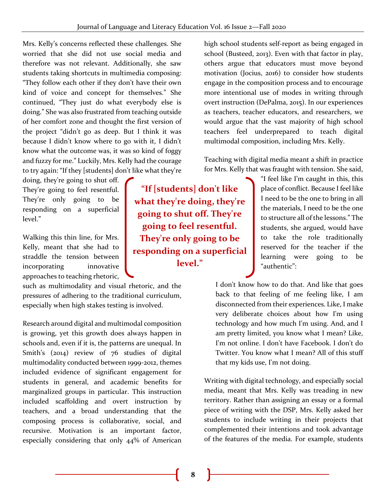Mrs. Kelly's concerns reflected these challenges. She worried that she did not use social media and therefore was not relevant. Additionally, she saw students taking shortcuts in multimedia composing: "They follow each other if they don't have their own kind of voice and concept for themselves." She continued, "They just do what everybody else is doing." She was also frustrated from teaching outside of her comfort zone and thought the first version of the project "didn't go as deep. But I think it was because I didn't know where to go with it, I didn't know what the outcome was, it was so kind of foggy and fuzzy for me." Luckily, Mrs. Kelly had the courage to try again: "If they [students] don't like what they're

doing, they're going to shut off. They're going to feel resentful. They're only going to be responding on a superficial level."

Walking this thin line, for Mrs. Kelly, meant that she had to straddle the tension between incorporating innovative approaches to teaching rhetoric,

such as multimodality and visual rhetoric, and the pressures of adhering to the traditional curriculum, especially when high stakes testing is involved.

Research around digital and multimodal composition is growing, yet this growth does always happen in schools and, even if it is, the patterns are unequal. In Smith's (2014) review of 76 studies of digital multimodality conducted between 1999-2012, themes included evidence of significant engagement for students in general, and academic benefits for marginalized groups in particular. This instruction included scaffolding and overt instruction by teachers, and a broad understanding that the composing process is collaborative, social, and recursive. Motivation is an important factor, especially considering that only 44% of American

**"If [students] don't like what they're doing, they're going to shut off. They're going to feel resentful. They're only going to be responding on a superficial level."**

high school students self-report as being engaged in school (Busteed, 2013). Even with that factor in play, others argue that educators must move beyond motivation (Jocius, 2016) to consider how students engage in the composition process and to encourage more intentional use of modes in writing through overt instruction (DePalma, 2015). In our experiences as teachers, teacher educators, and researchers, we would argue that the vast majority of high school teachers feel underprepared to teach digital multimodal composition, including Mrs. Kelly.

Teaching with digital media meant a shift in practice for Mrs. Kelly that was fraught with tension. She said,

> "I feel like I'm caught in this, this place of conflict. Because I feel like I need to be the one to bring in all the materials, I need to be the one to structure all of the lessons." The students, she argued, would have to take the role traditionally reserved for the teacher if the learning were going to be "authentic":

I don't know how to do that. And like that goes back to that feeling of me feeling like, I am disconnected from their experiences. Like, I make very deliberate choices about how I'm using technology and how much I'm using. And, and I am pretty limited, you know what I mean? Like, I'm not online. I don't have Facebook. I don't do Twitter. You know what I mean? All of this stuff that my kids use, I'm not doing.

Writing with digital technology, and especially social media, meant that Mrs. Kelly was treading in new territory. Rather than assigning an essay or a formal piece of writing with the DSP, Mrs. Kelly asked her students to include writing in their projects that complemented their intentions and took advantage of the features of the media. For example, students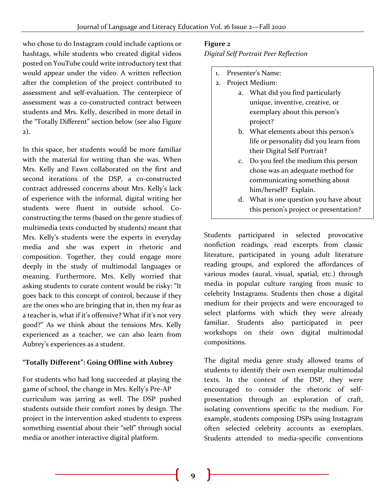who chose to do Instagram could include captions or hashtags, while students who created digital videos posted on YouTube could write introductory text that would appear under the video. A written reflection after the completion of the project contributed to assessment and self-evaluation. The centerpiece of assessment was a co-constructed contract between students and Mrs. Kelly, described in more detail in the "Totally Different" section below (see also Figure 2).

In this space, her students would be more familiar with the material for writing than she was. When Mrs. Kelly and Fawn collaborated on the first and second iterations of the DSP, a co-constructed contract addressed concerns about Mrs. Kelly's lack of experience with the informal, digital writing her students were fluent in outside school. Coconstructing the terms (based on the genre studies of multimedia texts conducted by students) meant that Mrs. Kelly's students were the experts in everyday media and she was expert in rhetoric and composition. Together, they could engage more deeply in the study of multimodal languages or meaning. Furthermore, Mrs. Kelly worried that asking students to curate content would be risky: "It goes back to this concept of control, because if they are the ones who are bringing that in, then my fear as a teacher is, what if it's offensive? What if it's not very good?" As we think about the tensions Mrs. Kelly experienced as a teacher, we can also learn from Aubrey's experiences as a student.

#### **"Totally Different": Going Offline with Aubrey**

For students who had long succeeded at playing the game of school, the change in Mrs. Kelly's Pre-AP curriculum was jarring as well. The DSP pushed students outside their comfort zones by design. The project in the intervention asked students to express something essential about their "self" through social media or another interactive digital platform.

#### **Figure 2**

*Digital Self Portrait Peer Reflection*

- 1. Presenter's Name:
- 2. Project Medium:
	- a. What did you find particularly unique, inventive, creative, or exemplary about this person's project?
	- b. What elements about this person's life or personality did you learn from their Digital Self Portrait?
	- c. Do you feel the medium this person chose was an adequate method for communicating something about him/herself? Explain.
	- d. What is one question you have about this person's project or presentation?

Students participated in selected provocative nonfiction readings, read excerpts from classic literature, participated in young adult literature reading groups, and explored the affordances of various modes (aural, visual, spatial, etc.) through media in popular culture ranging from music to celebrity Instagrams. Students then chose a digital medium for their projects and were encouraged to select platforms with which they were already familiar. Students also participated in peer workshops on their own digital multimodal compositions.

The digital media genre study allowed teams of students to identify their own exemplar multimodal texts. In the context of the DSP, they were encouraged to consider the rhetoric of selfpresentation through an exploration of craft, isolating conventions specific to the medium. For example, students composing DSPs using Instagram often selected celebrity accounts as exemplars. Students attended to media-specific conventions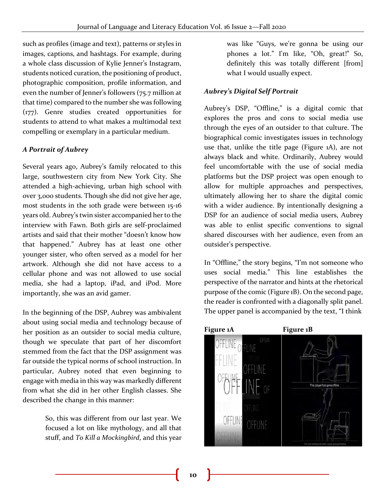such as profiles (image and text), patterns or styles in images, captions, and hashtags. For example, during a whole class discussion of Kylie Jenner's Instagram, students noticed curation, the positioning of product, photographic composition, profile information, and even the number of Jenner's followers (75.7 million at that time) compared to the number she was following (177). Genre studies created opportunities for students to attend to what makes a multimodal text compelling or exemplary in a particular medium.

#### *A Portrait of Aubrey*

Several years ago, Aubrey's family relocated to this large, southwestern city from New York City. She attended a high-achieving, urban high school with over 3,000 students. Though she did not give her age, most students in the 10th grade were between 15-16 years old. Aubrey's twin sister accompanied her to the interview with Fawn. Both girls are self-proclaimed artists and said that their mother "doesn't know how that happened." Aubrey has at least one other younger sister, who often served as a model for her artwork. Although she did not have access to a cellular phone and was not allowed to use social media, she had a laptop, iPad, and iPod. More importantly, she was an avid gamer.

In the beginning of the DSP, Aubrey was ambivalent about using social media and technology because of her position as an outsider to social media culture, though we speculate that part of her discomfort stemmed from the fact that the DSP assignment was far outside the typical norms of school instruction. In particular, Aubrey noted that even beginning to engage with media in this way was markedly different from what she did in her other English classes. She described the change in this manner:

> So, this was different from our last year. We focused a lot on like mythology, and all that stuff, and *To Kill a Mockingbird*, and this year

was like "Guys, we're gonna be using our phones a lot." I'm like, "Oh, great!" So, definitely this was totally different [from] what I would usually expect.

#### *Aubrey's Digital Self Portrait*

Aubrey's DSP, "Offline," is a digital comic that explores the pros and cons to social media use through the eyes of an outsider to that culture. The biographical comic investigates issues in technology use that, unlike the title page (Figure 1A), are not always black and white. Ordinarily, Aubrey would feel uncomfortable with the use of social media platforms but the DSP project was open enough to allow for multiple approaches and perspectives, ultimately allowing her to share the digital comic with a wider audience. By intentionally designing a DSP for an audience of social media users, Aubrey was able to enlist specific conventions to signal shared discourses with her audience, even from an outsider's perspective.

In "Offline," the story begins, "I'm not someone who uses social media." This line establishes the perspective of the narrator and hints at the rhetorical purpose of the comic (Figure 1B). On the second page, the reader is confronted with a diagonally split panel. The upper panel is accompanied by the text, "I think

# Figure 1A Figure 1B OFFLINE OFFINE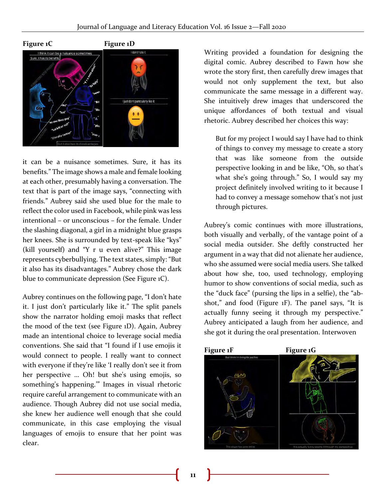

it can be a nuisance sometimes. Sure, it has its benefits." The image shows a male and female looking at each other, presumably having a conversation. The text that is part of the image says, "connecting with friends." Aubrey said she used blue for the male to reflect the color used in Facebook, while pink was less intentional – or unconscious – for the female. Under the slashing diagonal, a girl in a midnight blue grasps her knees. She is surrounded by text-speak like "kys" (kill yourself) and "Y r u even alive?" This image represents cyberbullying. The text states, simply: "But it also has its disadvantages." Aubrey chose the dark blue to communicate depression (See Figure 1C).

Aubrey continues on the following page, "I don't hate it. I just don't particularly like it." The split panels show the narrator holding emoji masks that reflect the mood of the text (see Figure 1D). Again, Aubrey made an intentional choice to leverage social media conventions. She said that "I found if I use emojis it would connect to people. I really want to connect with everyone if they're like 'I really don't see it from her perspective … Oh! but she's using emojis, so something's happening.'" Images in visual rhetoric require careful arrangement to communicate with an audience. Though Aubrey did not use social media, she knew her audience well enough that she could communicate, in this case employing the visual languages of emojis to ensure that her point was clear.

Writing provided a foundation for designing the digital comic. Aubrey described to Fawn how she wrote the story first, then carefully drew images that would not only supplement the text, but also communicate the same message in a different way. She intuitively drew images that underscored the unique affordances of both textual and visual rhetoric. Aubrey described her choices this way:

But for my project I would say I have had to think of things to convey my message to create a story that was like someone from the outside perspective looking in and be like, "Oh, so that's what she's going through." So, I would say my project definitely involved writing to it because I had to convey a message somehow that's not just through pictures.

Aubrey's comic continues with more illustrations, both visually and verbally, of the vantage point of a social media outsider. She deftly constructed her argument in a way that did not alienate her audience, who she assumed were social media users. She talked about how she, too, used technology, employing humor to show conventions of social media, such as the "duck face" (pursing the lips in a selfie), the "abshot," and food (Figure 1F). The panel says, "It is actually funny seeing it through my perspective." Aubrey anticipated a laugh from her audience, and she got it during the oral presentation. Interwoven

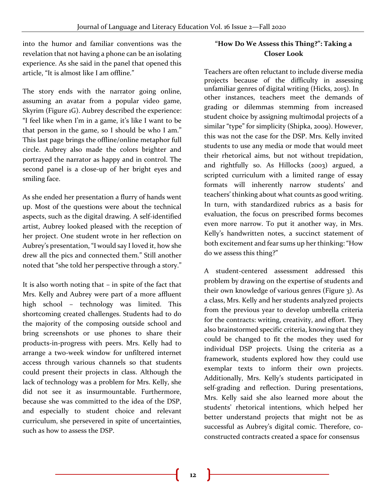into the humor and familiar conventions was the revelation that not having a phone can be an isolating experience. As she said in the panel that opened this article, "It is almost like I am offline."

The story ends with the narrator going online, assuming an avatar from a popular video game, Skyrim (Figure 1G). Aubrey described the experience: "I feel like when I'm in a game, it's like I want to be that person in the game, so I should be who I am." This last page brings the offline/online metaphor full circle. Aubrey also made the colors brighter and portrayed the narrator as happy and in control. The second panel is a close-up of her bright eyes and smiling face.

As she ended her presentation a flurry of hands went up. Most of the questions were about the technical aspects, such as the digital drawing. A self-identified artist, Aubrey looked pleased with the reception of her project. One student wrote in her reflection on Aubrey's presentation, "I would say I loved it, how she drew all the pics and connected them." Still another noted that "she told her perspective through a story."

It is also worth noting that – in spite of the fact that Mrs. Kelly and Aubrey were part of a more affluent high school – technology was limited. This shortcoming created challenges. Students had to do the majority of the composing outside school and bring screenshots or use phones to share their products-in-progress with peers. Mrs. Kelly had to arrange a two-week window for unfiltered internet access through various channels so that students could present their projects in class. Although the lack of technology was a problem for Mrs. Kelly, she did not see it as insurmountable. Furthermore, because she was committed to the idea of the DSP, and especially to student choice and relevant curriculum, she persevered in spite of uncertainties, such as how to assess the DSP.

#### **"How Do We Assess this Thing?": Taking a Closer Look**

Teachers are often reluctant to include diverse media projects because of the difficulty in assessing unfamiliar genres of digital writing (Hicks, 2015). In other instances, teachers meet the demands of grading or dilemmas stemming from increased student choice by assigning multimodal projects of a similar "type" for simplicity (Shipka, 2009). However, this was not the case for the DSP. Mrs. Kelly invited students to use any media or mode that would meet their rhetorical aims, but not without trepidation, and rightfully so. As Hillocks (2003) argued, a scripted curriculum with a limited range of essay formats will inherently narrow students' and teachers' thinking about what counts as good writing. In turn, with standardized rubrics as a basis for evaluation, the focus on prescribed forms becomes even more narrow. To put it another way, in Mrs. Kelly's handwritten notes, a succinct statement of both excitement and fear sums up her thinking: "How do we assess this thing?"

A student-centered assessment addressed this problem by drawing on the expertise of students and their own knowledge of various genres (Figure 3). As a class, Mrs. Kelly and her students analyzed projects from the previous year to develop umbrella criteria for the contracts: writing, creativity, and effort. They also brainstormed specific criteria, knowing that they could be changed to fit the modes they used for individual DSP projects. Using the criteria as a framework, students explored how they could use exemplar texts to inform their own projects. Additionally, Mrs. Kelly's students participated in self-grading and reflection. During presentations, Mrs. Kelly said she also learned more about the students' rhetorical intentions, which helped her better understand projects that might not be as successful as Aubrey's digital comic. Therefore, coconstructed contracts created a space for consensus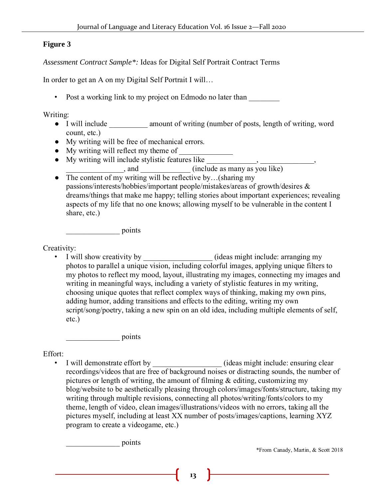#### **Figure 3**

*Assessment Contract Sample\*:* Ideas for Digital Self Portrait Contract Terms

In order to get an A on my Digital Self Portrait I will…

•Post a working link to my project on Edmodo no later than

Writing:

- I will include \_\_\_\_\_\_\_\_\_\_\_ amount of writing (number of posts, length of writing, word count, etc.)
- My writing will be free of mechanical errors.
- $\bullet$  My writing will reflect my theme of  $\_\_$
- My writing will include stylistic features like \_\_\_\_\_\_\_\_\_\_\_\_\_\_, \_\_\_\_\_\_\_\_\_\_\_\_\_,  $\Box$ , and  $\Box$  (include as many as you like)
- The content of my writing will be reflective by...(sharing my passions/interests/hobbies/important people/mistakes/areas of growth/desires & dreams/things that make me happy; telling stories about important experiences; revealing aspects of my life that no one knows; allowing myself to be vulnerable in the content I share, etc.)

\_\_\_\_\_\_\_\_\_\_\_\_\_\_ points

Creativity:

• I will show creativity by \_\_\_\_\_\_\_\_\_\_\_\_\_\_\_\_\_\_ (ideas might include: arranging my photos to parallel a unique vision, including colorful images, applying unique filters to my photos to reflect my mood, layout, illustrating my images, connecting my images and writing in meaningful ways, including a variety of stylistic features in my writing, choosing unique quotes that reflect complex ways of thinking, making my own pins, adding humor, adding transitions and effects to the editing, writing my own script/song/poetry, taking a new spin on an old idea, including multiple elements of self, etc.)

\_\_\_\_\_\_\_\_\_\_\_\_\_\_ points

#### Effort: •

 I will demonstrate effort by \_\_\_\_\_\_\_\_\_\_\_\_\_\_\_\_\_\_ (ideas might include: ensuring clear recordings/videos that are free of background noises or distracting sounds, the number of pictures or length of writing, the amount of filming  $\&$  editing, customizing my blog/website to be aesthetically pleasing through colors/images/fonts/structure, taking my writing through multiple revisions, connecting all photos/writing/fonts/colors to my theme, length of video, clean images/illustrations/videos with no errors, taking all the pictures myself, including at least XX number of posts/images/captions, learning XYZ program to create a videogame, etc.)

 $\frac{1}{2}$  points

\*From Canady, Martin, & Scott 2018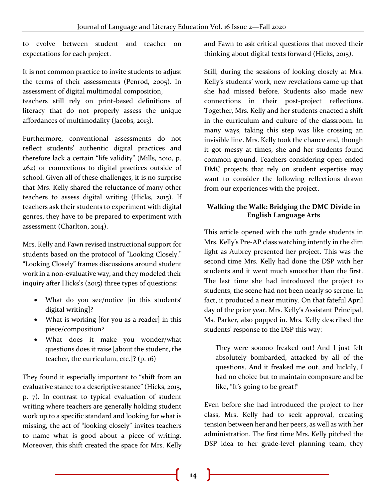to evolve between student and teacher on expectations for each project.

It is not common practice to invite students to adjust the terms of their assessments (Penrod, 2005). In assessment of digital multimodal composition,

teachers still rely on print-based definitions of literacy that do not properly assess the unique affordances of multimodality (Jacobs, 2013).

Furthermore, conventional assessments do not reflect students' authentic digital practices and therefore lack a certain "life validity" (Mills, 2010, p. 262) or connections to digital practices outside of school. Given all of these challenges, it is no surprise that Mrs. Kelly shared the reluctance of many other teachers to assess digital writing (Hicks, 2015). If teachers ask their students to experiment with digital genres, they have to be prepared to experiment with assessment (Charlton, 2014).

Mrs. Kelly and Fawn revised instructional support for students based on the protocol of "Looking Closely." "Looking Closely" frames discussions around student work in a non-evaluative way, and they modeled their inquiry after Hicks's (2015) three types of questions:

- What do you see/notice [in this students' digital writing]?
- What is working [for you as a reader] in this piece/composition?
- What does it make you wonder/what questions does it raise [about the student, the teacher, the curriculum, etc.]? (p. 16)

They found it especially important to "shift from an evaluative stance to a descriptive stance" (Hicks, 2015, p. 7). In contrast to typical evaluation of student writing where teachers are generally holding student work up to a specific standard and looking for what is missing, the act of "looking closely" invites teachers to name what is good about a piece of writing. Moreover, this shift created the space for Mrs. Kelly and Fawn to ask critical questions that moved their thinking about digital texts forward (Hicks, 2015).

Still, during the sessions of looking closely at Mrs. Kelly's students' work, new revelations came up that she had missed before. Students also made new connections in their post-project reflections. Together, Mrs. Kelly and her students enacted a shift in the curriculum and culture of the classroom. In many ways, taking this step was like crossing an invisible line. Mrs. Kelly took the chance and, though it got messy at times, she and her students found common ground. Teachers considering open-ended DMC projects that rely on student expertise may want to consider the following reflections drawn from our experiences with the project.

#### **Walking the Walk: Bridging the DMC Divide in English Language Arts**

This article opened with the 10th grade students in Mrs. Kelly's Pre-AP class watching intently in the dim light as Aubrey presented her project. This was the second time Mrs. Kelly had done the DSP with her students and it went much smoother than the first. The last time she had introduced the project to students, the scene had not been nearly so serene. In fact, it produced a near mutiny. On that fateful April day of the prior year, Mrs. Kelly's Assistant Principal, Ms. Parker, also popped in. Mrs. Kelly described the students' response to the DSP this way:

They were sooooo freaked out! And I just felt absolutely bombarded, attacked by all of the questions. And it freaked me out, and luckily, I had no choice but to maintain composure and be like, "It's going to be great!"

Even before she had introduced the project to her class, Mrs. Kelly had to seek approval, creating tension between her and her peers, as well as with her administration. The first time Mrs. Kelly pitched the DSP idea to her grade-level planning team, they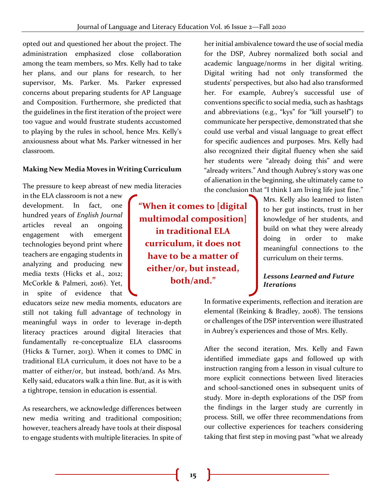opted out and questioned her about the project. The administration emphasized close collaboration among the team members, so Mrs. Kelly had to take her plans, and our plans for research, to her supervisor, Ms. Parker. Ms. Parker expressed concerns about preparing students for AP Language and Composition. Furthermore, she predicted that the guidelines in the first iteration of the project were too vague and would frustrate students accustomed to playing by the rules in school, hence Mrs. Kelly's anxiousness about what Ms. Parker witnessed in her classroom.

#### **Making New Media Moves in Writing Curriculum**

The pressure to keep abreast of new media literacies

in the ELA classroom is not a new development. In fact, one hundred years of *English Journal* articles reveal an ongoing engagement with emergent technologies beyond print where teachers are engaging students in analyzing and producing new media texts (Hicks et al., 2012; McCorkle & Palmeri, 2016). Yet, in spite of evidence that

educators seize new media moments, educators are still not taking full advantage of technology in meaningful ways in order to leverage in-depth literacy practices around digital literacies that fundamentally re-conceptualize ELA classrooms (Hicks & Turner, 2013). When it comes to DMC in traditional ELA curriculum, it does not have to be a matter of either/or, but instead, both/and. As Mrs. Kelly said, educators walk a thin line. But, as it is with a tightrope, tension in education is essential.

As researchers, we acknowledge differences between new media writing and traditional composition; however, teachers already have tools at their disposal to engage students with multiple literacies. In spite of

**"When it comes to [digital multimodal composition] in traditional ELA curriculum, it does not have to be a matter of either/or, but instead, both/and."**

her initial ambivalence toward the use of social media for the DSP, Aubrey normalized both social and academic language/norms in her digital writing. Digital writing had not only transformed the students' perspectives, but also had also transformed her. For example, Aubrey's successful use of conventions specific to social media, such as hashtags and abbreviations (e.g., "kys" for "kill yourself") to communicate her perspective, demonstrated that she could use verbal and visual language to great effect for specific audiences and purposes. Mrs. Kelly had also recognized their digital fluency when she said her students were "already doing this" and were "already writers." And though Aubrey's story was one of alienation in the beginning, she ultimately came to the conclusion that "I think I am living life just fine."

Mrs. Kelly also learned to listen to her gut instincts, trust in her knowledge of her students, and build on what they were already doing in order to make meaningful connections to the curriculum on their terms.

#### *Lessons Learned and Future Iterations*

In formative experiments, reflection and iteration are elemental (Reinking & Bradley, 2008). The tensions or challenges of the DSP intervention were illustrated in Aubrey's experiences and those of Mrs. Kelly.

After the second iteration, Mrs. Kelly and Fawn identified immediate gaps and followed up with instruction ranging from a lesson in visual culture to more explicit connections between lived literacies and school-sanctioned ones in subsequent units of study. More in-depth explorations of the DSP from the findings in the larger study are currently in process. Still, we offer three recommendations from our collective experiences for teachers considering taking that first step in moving past "what we already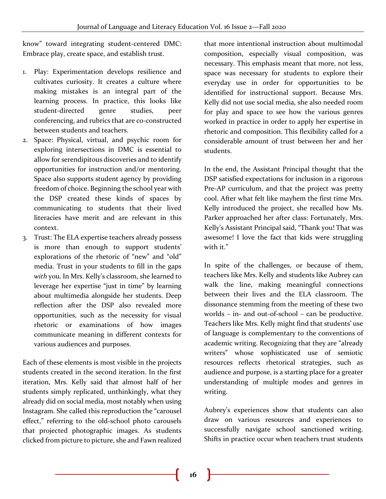know" toward integrating student-centered DMC: Embrace play, create space, and establish trust.

- 1. Play: Experimentation develops resilience and cultivates curiosity. It creates a culture where making mistakes is an integral part of the learning process. In practice, this looks like student-directed genre studies, peer conferencing, and rubrics that are co-constructed between students and teachers.
- 2. Space: Physical, virtual, and psychic room for exploring intersections in DMC is essential to allow for serendipitous discoveries and to identify opportunities for instruction and/or mentoring. Space also supports student agency by providing freedom of choice. Beginning the school year with the DSP created these kinds of spaces by communicating to students that their lived literacies have merit and are relevant in this context.
- 3. Trust: The ELA expertise teachers already possess is more than enough to support students' explorations of the rhetoric of "new" and "old" media. Trust in your students to fill in the gaps *with* you. In Mrs. Kelly's classroom, she learned to leverage her expertise "just in time" by learning about multimedia alongside her students. Deep reflection after the DSP also revealed more opportunities, such as the necessity for visual rhetoric or examinations of how images communicate meaning in different contexts for various audiences and purposes.

Each of these elements is most visible in the projects students created in the second iteration. In the first iteration, Mrs. Kelly said that almost half of her students simply replicated, unthinkingly, what they already did on social media, most notably when using Instagram. She called this reproduction the "carousel effect," referring to the old-school photo carousels that projected photographic images. As students clicked from picture to picture, she and Fawn realized

that more intentional instruction about multimodal composition, especially visual composition, was necessary. This emphasis meant that more, not less, space was necessary for students to explore their everyday use in order for opportunities to be identified for instructional support. Because Mrs. Kelly did not use social media, she also needed room for play and space to see how the various genres worked in practice in order to apply her expertise in rhetoric and composition. This flexibility called for a considerable amount of trust between her and her students.

In the end, the Assistant Principal thought that the DSP satisfied expectations for inclusion in a rigorous Pre-AP curriculum, and that the project was pretty cool. After what felt like mayhem the first time Mrs. Kelly introduced the project, she recalled how Ms. Parker approached her after class: Fortunately, Mrs. Kelly's Assistant Principal said, "Thank you! That was awesome! I love the fact that kids were struggling with it."

In spite of the challenges, or because of them, teachers like Mrs. Kelly and students like Aubrey can walk the line, making meaningful connections between their lives and the ELA classroom. The dissonance stemming from the meeting of these two worlds – in- and out-of-school – can be productive. Teachers like Mrs. Kelly might find that students' use of language is complementary to the conventions of academic writing. Recognizing that they are "already writers" whose sophisticated use of semiotic resources reflects rhetorical strategies, such as audience and purpose, is a starting place for a greater understanding of multiple modes and genres in writing.

Aubrey's experiences show that students can also draw on various resources and experiences to successfully navigate school sanctioned writing. Shifts in practice occur when teachers trust students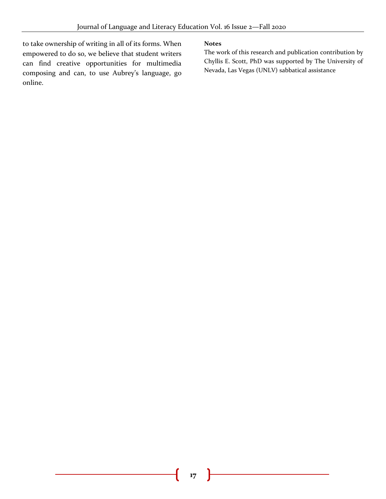to take ownership of writing in all of its forms. When empowered to do so, we believe that student writers can find creative opportunities for multimedia composing and can, to use Aubrey's language, go online.

#### **Notes**

The work of this research and publication contribution by Chyllis E. Scott, PhD was supported by The University of Nevada, Las Vegas (UNLV) sabbatical assistance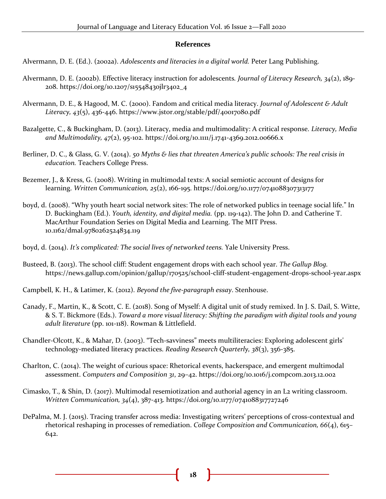#### **References**

Alvermann, D. E. (Ed.). (2002a). *Adolescents and literacies in a digital world.* Peter Lang Publishing.

- Alvermann, D. E. (2002b). Effective literacy instruction for adolescents*. Journal of Literacy Research, 34*(2), 189- 208. https://doi.org/10.1207/s15548430jlr3402\_4
- Alvermann, D. E., & Hagood, M. C. (2000). Fandom and critical media literacy. *Journal of Adolescent & Adult Literacy, 43*(5), 436-446. <https://www.jstor.org/stable/pdf/40017080.pdf>
- Bazalgette, C., & Buckingham, D. (2013). Literacy, media and multimodality: A critical response. *Literacy, Media and Multimodality, 47*(2), 95-102. https://doi.org/10.1111/j.1741-4369.2012.00666.x
- Berliner, D. C., & Glass, G. V. (2014). *50 Myths & lies that threaten America's public schools: The real crisis in education.* Teachers College Press.
- Bezemer, J., & Kress, G. (2008). Writing in multimodal texts: A social semiotic account of designs for learning. *Written Communication, 25*(2), 166-195. https://doi.org/10.1177/0741088307313177
- boyd, d. (2008). "Why youth heart social network sites: The role of networked publics in teenage social life." In D. Buckingham (Ed.). *Youth, identity, and digital media.* (pp. 119-142). The John D. and Catherine T. MacArthur Foundation Series on Digital Media and Learning. The MIT Press. 10.1162/dmal.9780262524834.119
- boyd, d. (2014). *It's complicated: The social lives of networked teens.* Yale University Press.
- Busteed, B. (2013). The school cliff: Student engagement drops with each school year. *The Gallup Blog.* https://news.gallup.com/opinion/gallup/170525/school-cliff-student-engagement-drops-school-year.aspx
- Campbell, K. H., & Latimer, K. (2012). *Beyond the five-paragraph essay*. Stenhouse.
- Canady, F., Martin, K., & Scott, C. E. (2018). Song of Myself: A digital unit of study remixed. In J. S. Dail, S. Witte, & S. T. Bickmore (Eds.). *Toward a more visual literacy: Shifting the paradigm with digital tools and young adult literature* (pp. 101-118). Rowman & Littlefield.
- Chandler-Olcott, K., & Mahar, D. (2003). "Tech‐savviness" meets multiliteracies: Exploring adolescent girls' technology‐mediated literacy practices. *Reading Research Quarterly, 38*(3), 356-385.
- Charlton, C. (2014). The weight of curious space: Rhetorical events, hackerspace, and emergent multimodal assessment. *Computers and Composition 31*, 29–42. https://doi.org/10.1016/j.compcom.2013.12.002
- Cimasko, T., & Shin, D. (2017). Multimodal resemiotization and authorial agency in an L2 writing classroom. *Written Communication, 34*(4), 387-413. [https://doi.org/10.1177/0741088317727246](https://doi.org/10.1177%2F0741088317727246)
- DePalma, M. J. (2015). Tracing transfer across media: Investigating writers' perceptions of cross-contextual and rhetorical reshaping in processes of remediation. *College Composition and Communication, 66*(4), 615– 642.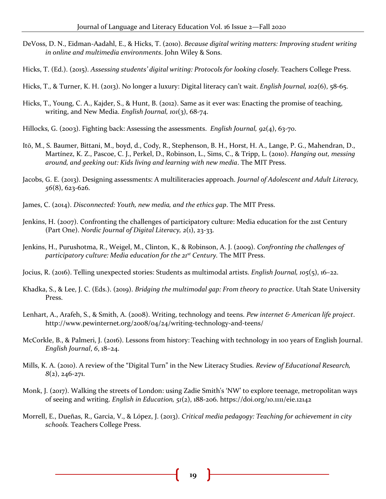- DeVoss, D. N., Eidman-Aadahl, E., & Hicks, T. (2010). *Because digital writing matters: Improving student writing in online and multimedia environments*. John Wiley & Sons.
- Hicks, T. (Ed.). (2015). *Assessing students' digital writing: Protocols for looking closely.* Teachers College Press.
- Hicks, T., & Turner, K. H. (2013). No longer a luxury: Digital literacy can't wait. *English Journal, 102*(6), 58-65.
- Hicks, T., Young, C. A., Kajder, S., & Hunt, B. (2012). Same as it ever was: Enacting the promise of teaching, writing, and New Media. *English Journal, 101*(3), 68-74.
- Hillocks, G. (2003). Fighting back: Assessing the assessments. *English Journal, 92*(4), 63-70.
- Itō, M., S. Baumer, Bittani, M., boyd, d., Cody, R., Stephenson, B. H., Horst, H. A., Lange, P. G., Mahendran, D., Martínez, K. Z., Pascoe, C. J., Perkel, D., Robinson, L., Sims, C., & Tripp, L. (2010). *Hanging out, messing around, and geeking out: Kids living and learning with new media*. The MIT Press.
- Jacobs, G. E. (2013). Designing assessments: A multiliteracies approach. *Journal of Adolescent and Adult Literacy, 56*(8), 623-626.
- James, C. (2014). *Disconnected: Youth, new media, and the ethics gap*. The MIT Press.
- Jenkins, H. (2007). Confronting the challenges of participatory culture: Media education for the 21st Century (Part One). *Nordic Journal of Digital Literacy, 2*(1), 23-33.
- Jenkins, H., Purushotma, R., Weigel, M., Clinton, K., & Robinson, A. J. (2009). *Confronting the challenges of participatory culture: Media education for the 21st Century.* The MIT Press.
- Jocius, R. (2016). Telling unexpected stories: Students as multimodal artists. *English Journal, 105*(5), 16–22.
- Khadka, S., & Lee, J. C. (Eds.). (2019). *Bridging the multimodal gap: From theory to practice*. Utah State University Press.
- Lenhart, A., Arafeh, S., & Smith, A. (2008). Writing, technology and teens. *Pew internet & American life project*. http://www.pewinternet.org/2008/04/24/writing-technology-and-teens/
- McCorkle, B., & Palmeri, J. (2016). Lessons from history: Teaching with technology in 100 years of English Journal. *English Journal*, *6*, 18–24.
- Mills, K. A. (2010). A review of the "Digital Turn" in the New Literacy Studies. *Review of Educational Research, 8*(2), 246-271.
- Monk, J. (2017). Walking the streets of London: using Zadie Smith's 'NW' to explore teenage, metropolitan ways of seeing and writing. *English in Education, 51*(2), 188-206. https://doi.org/10.1111/eie.12142
- Morrell, E., Dueñas, R., Garcia, V., & López, J. (2013). *Critical media pedagogy: Teaching for achievement in city schools.* Teachers College Press.